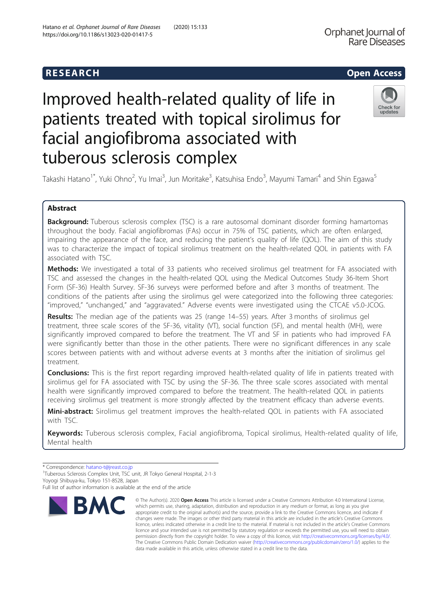## **RESEARCH CHEAR CHEAR CHEAR CHEAR CHEAR CHEAR CHEAR CHEAR CHEAR CHEAR CHEAR CHEAR CHEAR CHEAR CHEAR CHEAR CHEAR**

# Improved health-related quality of life in patients treated with topical sirolimus for facial angiofibroma associated with tuberous sclerosis complex



Takashi Hatano<sup>1\*</sup>, Yuki Ohno<sup>2</sup>, Yu Imai<sup>3</sup>, Jun Moritake<sup>3</sup>, Katsuhisa Endo<sup>3</sup>, Mayumi Tamari<sup>4</sup> and Shin Egawa<sup>5</sup>

### Abstract

Background: Tuberous sclerosis complex (TSC) is a rare autosomal dominant disorder forming hamartomas throughout the body. Facial angiofibromas (FAs) occur in 75% of TSC patients, which are often enlarged, impairing the appearance of the face, and reducing the patient's quality of life (QOL). The aim of this study was to characterize the impact of topical sirolimus treatment on the health-related QOL in patients with FA associated with TSC.

**Methods:** We investigated a total of 33 patients who received sirolimus gel treatment for FA associated with TSC and assessed the changes in the health-related QOL using the Medical Outcomes Study 36-Item Short Form (SF-36) Health Survey. SF-36 surveys were performed before and after 3 months of treatment. The conditions of the patients after using the sirolimus gel were categorized into the following three categories: "improved," "unchanged," and "aggravated." Adverse events were investigated using the CTCAE v5.0-JCOG.

Results: The median age of the patients was 25 (range 14–55) years. After 3 months of sirolimus gel treatment, three scale scores of the SF-36, vitality (VT), social function (SF), and mental health (MH), were significantly improved compared to before the treatment. The VT and SF in patients who had improved FA were significantly better than those in the other patients. There were no significant differences in any scale scores between patients with and without adverse events at 3 months after the initiation of sirolimus gel treatment.

**Conclusions:** This is the first report regarding improved health-related quality of life in patients treated with sirolimus gel for FA associated with TSC by using the SF-36. The three scale scores associated with mental health were significantly improved compared to before the treatment. The health-related QOL in patients receiving sirolimus gel treatment is more strongly affected by the treatment efficacy than adverse events.

Mini-abstract: Sirolimus gel treatment improves the health-related QOL in patients with FA associated with TSC.

Keywords: Tuberous sclerosis complex, Facial angiofibroma, Topical sirolimus, Health-related quality of life, Mental health

Full list of author information is available at the end of the article



<sup>©</sup> The Author(s), 2020 **Open Access** This article is licensed under a Creative Commons Attribution 4.0 International License, which permits use, sharing, adaptation, distribution and reproduction in any medium or format, as long as you give appropriate credit to the original author(s) and the source, provide a link to the Creative Commons licence, and indicate if changes were made. The images or other third party material in this article are included in the article's Creative Commons licence, unless indicated otherwise in a credit line to the material. If material is not included in the article's Creative Commons licence and your intended use is not permitted by statutory regulation or exceeds the permitted use, you will need to obtain permission directly from the copyright holder. To view a copy of this licence, visit [http://creativecommons.org/licenses/by/4.0/.](http://creativecommons.org/licenses/by/4.0/) The Creative Commons Public Domain Dedication waiver [\(http://creativecommons.org/publicdomain/zero/1.0/](http://creativecommons.org/publicdomain/zero/1.0/)) applies to the data made available in this article, unless otherwise stated in a credit line to the data.

<sup>\*</sup> Correspondence: [hatano-t@jreast.co.jp](mailto:hatano-t@jreast.co.jp) <sup>1</sup>

<sup>&</sup>lt;sup>1</sup>Tuberous Sclerosis Complex Unit, TSC unit, JR Tokyo General Hospital, 2-1-3 Yoyogi Shibuya-ku, Tokyo 151-8528, Japan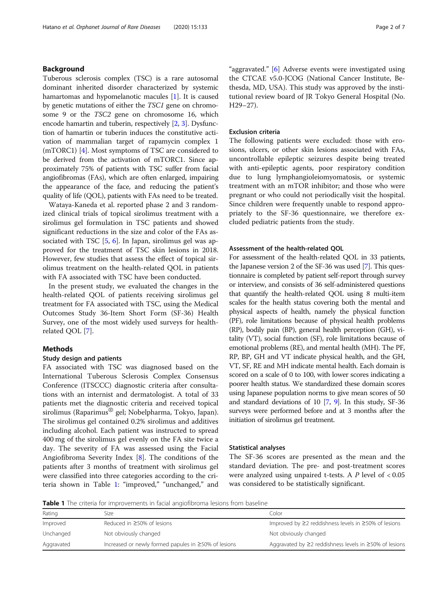Tuberous sclerosis complex (TSC) is a rare autosomal dominant inherited disorder characterized by systemic hamartomas and hypomelanotic macules [\[1](#page-5-0)]. It is caused by genetic mutations of either the TSC1 gene on chromosome 9 or the TSC2 gene on chromosome 16, which encode hamartin and tuberin, respectively [[2](#page-5-0), [3](#page-5-0)]. Dysfunction of hamartin or tuberin induces the constitutive activation of mammalian target of rapamycin complex 1 (mTORC1) [\[4](#page-5-0)]. Most symptoms of TSC are considered to be derived from the activation of mTORC1. Since approximately 75% of patients with TSC suffer from facial angiofibromas (FAs), which are often enlarged, impairing the appearance of the face, and reducing the patient's quality of life (QOL), patients with FAs need to be treated.

Wataya-Kaneda et al. reported phase 2 and 3 randomized clinical trials of topical sirolimus treatment with a sirolimus gel formulation in TSC patients and showed significant reductions in the size and color of the FAs associated with TSC  $[5, 6]$  $[5, 6]$  $[5, 6]$  $[5, 6]$ . In Japan, sirolimus gel was approved for the treatment of TSC skin lesions in 2018. However, few studies that assess the effect of topical sirolimus treatment on the health-related QOL in patients with FA associated with TSC have been conducted.

In the present study, we evaluated the changes in the health-related QOL of patients receiving sirolimus gel treatment for FA associated with TSC, using the Medical Outcomes Study 36-Item Short Form (SF-36) Health Survey, one of the most widely used surveys for healthrelated QOL [\[7](#page-5-0)].

#### Methods

#### Study design and patients

FA associated with TSC was diagnosed based on the International Tuberous Sclerosis Complex Consensus Conference (ITSCCC) diagnostic criteria after consultations with an internist and dermatologist. A total of 33 patients met the diagnostic criteria and received topical sirolimus (Raparimus<sup>®</sup> gel; Nobelpharma, Tokyo, Japan). The sirolimus gel contained 0.2% sirolimus and additives including alcohol. Each patient was instructed to spread 400 mg of the sirolimus gel evenly on the FA site twice a day. The severity of FA was assessed using the Facial Angiofibroma Severity Index [\[8\]](#page-5-0). The conditions of the patients after 3 months of treatment with sirolimus gel were classified into three categories according to the criteria shown in Table 1: "improved," "unchanged," and

"aggravated." [\[6](#page-5-0)] Adverse events were investigated using the CTCAE v5.0-JCOG (National Cancer Institute, Bethesda, MD, USA). This study was approved by the institutional review board of JR Tokyo General Hospital (No. H29–27).

#### Exclusion criteria

The following patients were excluded: those with erosions, ulcers, or other skin lesions associated with FAs, uncontrollable epileptic seizures despite being treated with anti-epileptic agents, poor respiratory condition due to lung lymphangioleiomyomatosis, or systemic treatment with an mTOR inhibitor; and those who were pregnant or who could not periodically visit the hospital. Since children were frequently unable to respond appropriately to the SF-36 questionnaire, we therefore excluded pediatric patients from the study.

#### Assessment of the health-related QOL

For assessment of the health-related QOL in 33 patients, the Japanese version 2 of the SF-36 was used [[7](#page-5-0)]. This questionnaire is completed by patient self-report through survey or interview, and consists of 36 self-administered questions that quantify the health-related QOL using 8 multi-item scales for the health status covering both the mental and physical aspects of health, namely the physical function (PF), role limitations because of physical health problems (RP), bodily pain (BP), general health perception (GH), vitality (VT), social function (SF), role limitations because of emotional problems (RE), and mental health (MH). The PF, RP, BP, GH and VT indicate physical health, and the GH, VT, SF, RE and MH indicate mental health. Each domain is scored on a scale of 0 to 100, with lower scores indicating a poorer health status. We standardized these domain scores using Japanese population norms to give mean scores of 50 and standard deviations of 10 [\[7,](#page-5-0) [9\]](#page-5-0). In this study, SF-36 surveys were performed before and at 3 months after the initiation of sirolimus gel treatment.

#### Statistical analyses

The SF-36 scores are presented as the mean and the standard deviation. The pre- and post-treatment scores were analyzed using unpaired t-tests. A  $P$  level of  $< 0.05$ was considered to be statistically significant.

Table 1 The criteria for improvements in facial angiofibroma lesions from baseline

| Rating     | Size                                                       | Color                                                          |
|------------|------------------------------------------------------------|----------------------------------------------------------------|
| Improved   | Reduced in $\geq$ 50% of lesions                           | Improved by $\geq$ reddishness levels in $\geq$ 50% of lesions |
| Unchanged  | Not obviously changed                                      | Not obviously changed                                          |
| Aggravated | Increased or newly formed papules in $\geq$ 50% of lesions | Aggravated by ≥2 reddishness levels in ≥50% of lesions         |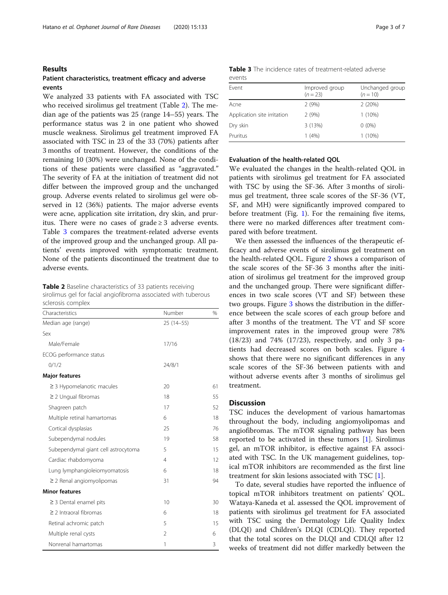#### Results

#### Patient characteristics, treatment efficacy and adverse events

We analyzed 33 patients with FA associated with TSC who received sirolimus gel treatment (Table 2). The median age of the patients was 25 (range 14–55) years. The performance status was 2 in one patient who showed muscle weakness. Sirolimus gel treatment improved FA associated with TSC in 23 of the 33 (70%) patients after 3 months of treatment. However, the conditions of the remaining 10 (30%) were unchanged. None of the conditions of these patients were classified as "aggravated." The severity of FA at the initiation of treatment did not differ between the improved group and the unchanged group. Adverse events related to sirolimus gel were observed in 12 (36%) patients. The major adverse events were acne, application site irritation, dry skin, and pruritus. There were no cases of grade  $\geq 3$  adverse events. Table 3 compares the treatment-related adverse events of the improved group and the unchanged group. All patients' events improved with symptomatic treatment. None of the patients discontinued the treatment due to adverse events.

Table 2 Baseline characteristics of 33 patients receiving sirolimus gel for facial angiofibroma associated with tuberous sclerosis complex

| Characteristics                     | Number         | %  |
|-------------------------------------|----------------|----|
| Median age (range)                  | $25(14-55)$    |    |
| Sex                                 |                |    |
| Male/Female                         | 17/16          |    |
| ECOG performance status             |                |    |
| 0/1/2                               | 24/8/1         |    |
| <b>Major features</b>               |                |    |
| $\geq$ 3 Hypomelanotic macules      | 20             | 61 |
| $\geq$ 2 Ungual fibromas            | 18             | 55 |
| Shagreen patch                      | 17             | 52 |
| Multiple retinal hamartomas         | 6              | 18 |
| Cortical dysplasias                 | 25             | 76 |
| Subependymal nodules                | 19             | 58 |
| Subependymal giant cell astrocytoma | 5              | 15 |
| Cardiac rhabdomyoma                 | $\overline{4}$ | 12 |
| Lung lymphangioleiomyomatosis       | 6              | 18 |
| $\geq$ 2 Renal angiomyolipomas      | 31             | 94 |
| <b>Minor features</b>               |                |    |
| $\geq$ 3 Dental enamel pits         | 10             | 30 |
| $\geq$ 2 Intraoral fibromas         | 6              | 18 |
| Retinal achromic patch              | 5              | 15 |
| Multiple renal cysts                | $\overline{2}$ | 6  |
| Nonrenal hamartomas                 | 1              | 3  |

|        |  | <b>Table 3</b> The incidence rates of treatment-related adverse |  |
|--------|--|-----------------------------------------------------------------|--|
| events |  |                                                                 |  |

| Event                       | Improved group<br>$(n = 23)$ | Unchanged group<br>$(n = 10)$ |  |
|-----------------------------|------------------------------|-------------------------------|--|
| Acne                        | 2(9%)                        | 2(20%)                        |  |
| Application site irritation | 2(9%)                        | $1(10\%)$                     |  |
| Dry skin                    | 3(13%)                       | $0(0\%)$                      |  |
| Pruritus                    | 1(4%)                        | $1(10\%)$                     |  |

#### Evaluation of the health-related QOL

We evaluated the changes in the health-related QOL in patients with sirolimus gel treatment for FA associated with TSC by using the SF-36. After 3 months of sirolimus gel treatment, three scale scores of the SF-36 (VT, SF, and MH) were significantly improved compared to before treatment (Fig. [1\)](#page-3-0). For the remaining five items, there were no marked differences after treatment compared with before treatment.

We then assessed the influences of the therapeutic efficacy and adverse events of sirolimus gel treatment on the health-related QOL. Figure [2](#page-3-0) shows a comparison of the scale scores of the SF-36 3 months after the initiation of sirolimus gel treatment for the improved group and the unchanged group. There were significant differences in two scale scores (VT and SF) between these two groups. Figure [3](#page-4-0) shows the distribution in the difference between the scale scores of each group before and after 3 months of the treatment. The VT and SF score improvement rates in the improved group were 78% (18/23) and 74% (17/23), respectively, and only 3 patients had decreased scores on both scales. Figure [4](#page-4-0) shows that there were no significant differences in any scale scores of the SF-36 between patients with and without adverse events after 3 months of sirolimus gel treatment.

#### **Discussion**

TSC induces the development of various hamartomas throughout the body, including angiomyolipomas and angiofibromas. The mTOR signaling pathway has been reported to be activated in these tumors [\[1](#page-5-0)]. Sirolimus gel, an mTOR inhibitor, is effective against FA associated with TSC. In the UK management guidelines, topical mTOR inhibitors are recommended as the first line treatment for skin lesions associated with TSC [[1\]](#page-5-0).

To date, several studies have reported the influence of topical mTOR inhibitors treatment on patients' QOL. Wataya-Kaneda et al. assessed the QOL improvement of patients with sirolimus gel treatment for FA associated with TSC using the Dermatology Life Quality Index (DLQI) and Children's DLQI (CDLQI). They reported that the total scores on the DLQI and CDLQI after 12 weeks of treatment did not differ markedly between the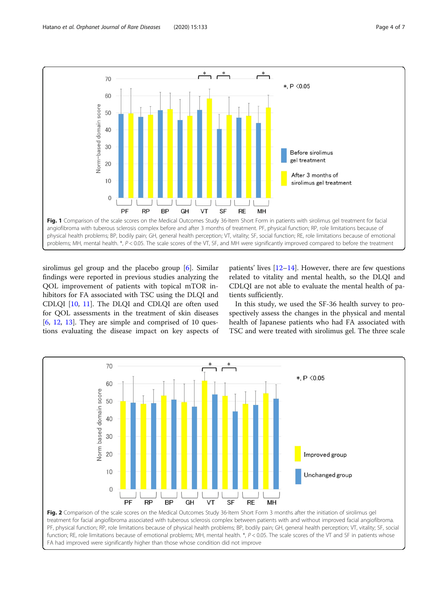<span id="page-3-0"></span>

sirolimus gel group and the placebo group [[6\]](#page-5-0). Similar findings were reported in previous studies analyzing the QOL improvement of patients with topical mTOR inhibitors for FA associated with TSC using the DLQI and CDLQI [\[10,](#page-5-0) [11\]](#page-5-0). The DLQI and CDLQI are often used for QOL assessments in the treatment of skin diseases  $[6, 12, 13]$  $[6, 12, 13]$  $[6, 12, 13]$  $[6, 12, 13]$  $[6, 12, 13]$  $[6, 12, 13]$  $[6, 12, 13]$ . They are simple and comprised of 10 questions evaluating the disease impact on key aspects of

FA had improved were significantly higher than those whose condition did not improve

patients' lives [\[12](#page-5-0)–[14\]](#page-5-0). However, there are few questions related to vitality and mental health, so the DLQI and CDLQI are not able to evaluate the mental health of patients sufficiently.

In this study, we used the SF-36 health survey to prospectively assess the changes in the physical and mental health of Japanese patients who had FA associated with TSC and were treated with sirolimus gel. The three scale

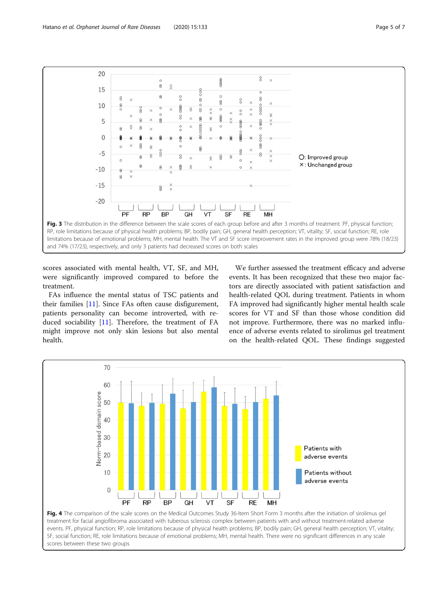<span id="page-4-0"></span>

scores associated with mental health, VT, SF, and MH, were significantly improved compared to before the treatment.

FAs influence the mental status of TSC patients and their families [[11\]](#page-5-0). Since FAs often cause disfigurement, patients personality can become introverted, with reduced sociability [[11\]](#page-5-0). Therefore, the treatment of FA might improve not only skin lesions but also mental health.

scores between these two groups

We further assessed the treatment efficacy and adverse events. It has been recognized that these two major factors are directly associated with patient satisfaction and health-related QOL during treatment. Patients in whom FA improved had significantly higher mental health scale scores for VT and SF than those whose condition did not improve. Furthermore, there was no marked influence of adverse events related to sirolimus gel treatment on the health-related QOL. These findings suggested

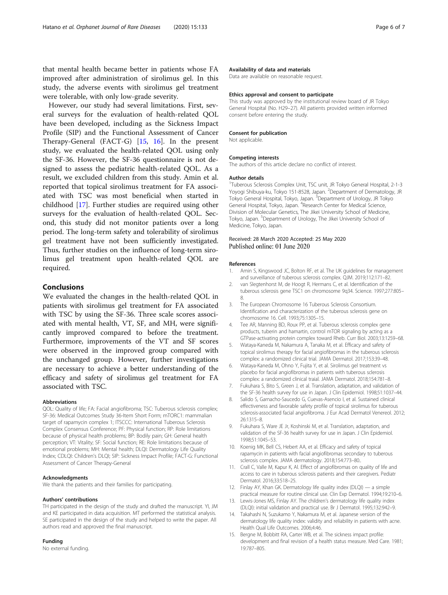<span id="page-5-0"></span>that mental health became better in patients whose FA improved after administration of sirolimus gel. In this study, the adverse events with sirolimus gel treatment were tolerable, with only low-grade severity.

However, our study had several limitations. First, several surveys for the evaluation of health-related QOL have been developed, including as the Sickness Impact Profile (SIP) and the Functional Assessment of Cancer Therapy-General (FACT-G) [15, [16\]](#page-6-0). In the present study, we evaluated the health-related QOL using only the SF-36. However, the SF-36 questionnaire is not designed to assess the pediatric health-related QOL. As a result, we excluded children from this study. Amin et al. reported that topical sirolimus treatment for FA associated with TSC was most beneficial when started in childhood [\[17](#page-6-0)]. Further studies are required using other surveys for the evaluation of health-related QOL. Second, this study did not monitor patients over a long period. The long-term safety and tolerability of sirolimus gel treatment have not been sufficiently investigated. Thus, further studies on the influence of long-term sirolimus gel treatment upon health-related QOL are required.

#### Conclusions

We evaluated the changes in the health-related QOL in patients with sirolimus gel treatment for FA associated with TSC by using the SF-36. Three scale scores associated with mental health, VT, SF, and MH, were significantly improved compared to before the treatment. Furthermore, improvements of the VT and SF scores were observed in the improved group compared with the unchanged group. However, further investigations are necessary to achieve a better understanding of the efficacy and safety of sirolimus gel treatment for FA associated with TSC.

#### Abbreviations

QOL: Quality of life; FA: Facial angiofibroma; TSC: Tuberous sclerosis complex; SF-36: Medical Outcomes Study 36-Item Short Form; mTORC1: mammalian target of rapamycin complex 1; ITSCCC: International Tuberous Sclerosis Complex Consensus Conference; PF: Physical function; RP: Role limitations because of physical health problems; BP: Bodily pain; GH: General health perception; VT: Vitality; SF: Social function; RE: Role limitations because of emotional problems; MH: Mental health; DLQI: Dermatology Life Quality Index; CDLQI: Children's DLQI; SIP: Sickness Impact Profile; FACT-G: Functional Assessment of Cancer Therapy-General

#### Acknowledgments

We thank the patients and their families for participating.

#### Authors' contributions

TH participated in the design of the study and drafted the manuscript. YI, JM and KE participated in data acquisition. MT performed the statistical analysis. SE participated in the design of the study and helped to write the paper. All authors read and approved the final manuscript.

#### Funding

No external funding.

#### Availability of data and materials

Data are available on reasonable request.

#### Ethics approval and consent to participate

This study was approved by the institutional review board of JR Tokyo General Hospital (No. H29–27). All patients provided written informed consent before entering the study.

#### Consent for publication

Not applicable.

#### Competing interests

The authors of this article declare no conflict of interest.

#### Author details

<sup>1</sup>Tuberous Sclerosis Complex Unit, TSC unit, JR Tokyo General Hospital, 2-1-3 Yoyogi Shibuya-ku, Tokyo 151-8528, Japan. <sup>2</sup>Department of Dermatology, JR Tokyo General Hospital, Tokyo, Japan. <sup>3</sup>Department of Urology, JR Tokyo General Hospital, Tokyo, Japan. <sup>4</sup>Research Center for Medical Science, Division of Molecular Genetics, The Jikei University School of Medicine, Tokyo, Japan. <sup>5</sup>Department of Urology, The Jikei University School of Medicine, Tokyo, Japan.

#### Received: 28 March 2020 Accepted: 25 May 2020 Published online: 01 June 2020

#### References

- 1. Amin S, Kingswood JC, Bolton RF, et al. The UK guidelines for management and surveillance of tuberous sclerosis complex. QJM. 2019;112:171–82.
- 2. van Slegtenhorst M, de Hoogt R, Hermans C, et al. Identification of the tuberous sclerosis gene TSC1 on chromosome 9q34. Science. 1997;277:805– 8.
- 3. The European Chromosome 16 Tuberous Sclerosis Consortium. Identification and characterization of the tuberous sclerosis gene on chromosome 16. Cell. 1993;75:1305–15.
- 4. Tee AR, Manning BD, Roux PP, et al. Tuberous sclerosis complex gene products, tuberin and hamartin, control mTOR signaling by acting as a GTPase-activating protein complex toward Rheb. Curr Biol. 2003;13:1259–68.
- 5. Wataya-Kaneda M, Nakamura A, Tanaka M, et al. Efficacy and safety of topical sirolimus therapy for facial angiofibromas in the tuberous sclerosis complex: a randomized clinical trial. JAMA Dermatol. 2017;153:39–48.
- 6. Wataya-Kaneda M, Ohno Y, Fujita Y, et al. Sirolimus gel treatment vs placebo for facial angiofibromas in patients with tuberous sclerosis complex: a randomized clinical traial. JAMA Dermatol. 2018;154:781–8.
- 7. Fukuhara S, Bito S, Green J, et al. Translation, adaptation, and validation of the SF-36 health survey for use in Japan. J Clin Epidemiol. 1998;51:1037–44.
- 8. Salido S, Garnacho-Saucedo G, Cuevas-Asencio I, et al. Sustained clinical effectiveness and favorable safety profile of topical sirolimus for tuberous sclerosis-associated facial angiofibroma. J Eur Acad Dermatol Venereol. 2012; 26:1315–8.
- 9. Fukuhara S, Ware JE Jr, Koshinski M, et al. Translation, adaptation, and validation of the SF-36 health survey for use in Japan. J Clin Epidemiol. 1998;51:1045–53.
- 10. Koenig MK, Bell CS, Hebert AA, et al. Efficacy and safety of topical rapamycin in patients with facial angiofibromas secondary to tuberous sclerosis complex. JAMA dermatology. 2018;154:773–80..
- 11. Crall C, Valle M, Kapur K, Al. Effect of angiofibromas on quality of life and access to care in tuberous sclerosis patients and their caregivers. Pediatr Dermatol. 2016;33:518–25.
- 12. Finlay AY, Khan GK. Dermatology life quality index (DLQI) a simple practical measure for routine clinical use. Clin Exp Dermatol. 1994;19:210–6.
- 13. Lewis-Jones MS, Finlay AY. The children's dermatology life quality index (DLQI): initial validation and practical use. Br J Dermatol. 1995;132:942–9.
- 14. Takahashi N, Suzukamo Y, Nakamura M, et al. Japanese version of the dermatology life quality index: validity and reliability in patients with acne. Health Qual Life Outcomes. 2006;4:46.
- 15. Bergne M, Bobbitt RA, Carter WB, et al. The sickness impact profile: development and final revision of a health status measure. Med Care. 1981; 19:787–805.